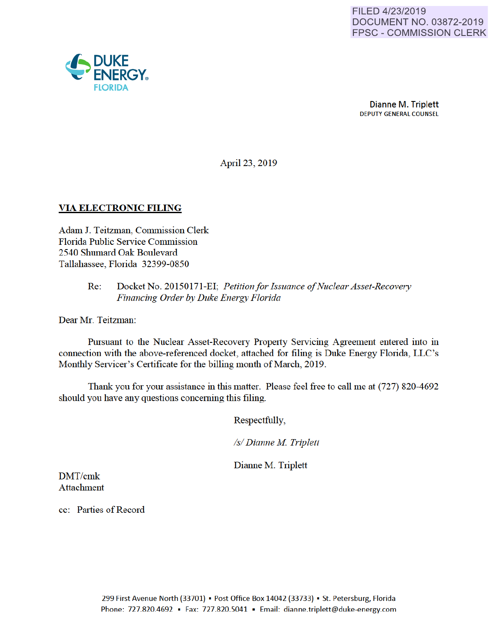

April23, 2019

## VIA ELECTRONIC FILING

Adam J. Teitzman, Commission Clerk Florida Public Service Commission 2540 Shumard Oak Boulevard Tallahassee, Florida 32399-0850

### Re: Docket No. 20150171-EI; *Petitionfor Issuance of Nuclear Asset-Recovery Financing Order by Duke Energy Florida*

Dear Mr. Teitzman:

Pursuant to the Nuclear Asset-Recovery Property Servicing Agreement entered into in connection with the above-referenced docket, attached for filing is Duke Energy Florida, LLC's Monthly Servicer's Certificate for the billing month of March, 2019.

Thank you for your assistance in this matter. Please feel free to call me at (727) 820-4692 should you have any questions conceming this filing.

Respectfully,

*Is/ Dianne M Triplett* 

Dianne M. Triplett

DMT/cmk Attachment

cc: Parties of Record

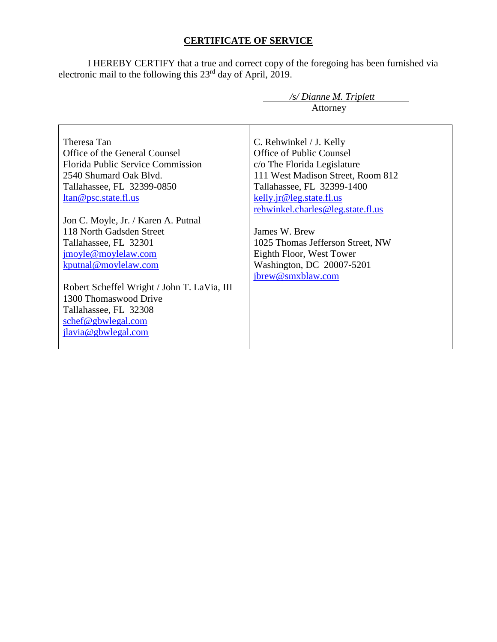# **CERTIFICATE OF SERVICE**

I HEREBY CERTIFY that a true and correct copy of the foregoing has been furnished via electronic mail to the following this 23<sup>rd</sup> day of April, 2019.

|                                             | $\sqrt{s}$ Dianne M. Triplett     |  |  |
|---------------------------------------------|-----------------------------------|--|--|
|                                             | Attorney                          |  |  |
|                                             |                                   |  |  |
| Theresa Tan                                 | C. Rehwinkel / J. Kelly           |  |  |
| Office of the General Counsel               | Office of Public Counsel          |  |  |
| Florida Public Service Commission           | c/o The Florida Legislature       |  |  |
| 2540 Shumard Oak Blvd.                      | 111 West Madison Street, Room 812 |  |  |
| Tallahassee, FL 32399-0850                  | Tallahassee, FL 32399-1400        |  |  |
| ltan@psc.state.fl.us                        | kelly.jr@leg.state.fl.us          |  |  |
|                                             | rehwinkel.charles@leg.state.fl.us |  |  |
| Jon C. Moyle, Jr. / Karen A. Putnal         |                                   |  |  |
| 118 North Gadsden Street                    | James W. Brew                     |  |  |
| Tallahassee, FL 32301                       | 1025 Thomas Jefferson Street, NW  |  |  |
| jmoyle@moylelaw.com                         | Eighth Floor, West Tower          |  |  |
| kputnal@moylelaw.com                        | Washington, DC 20007-5201         |  |  |
|                                             | jbrew@smxblaw.com                 |  |  |
| Robert Scheffel Wright / John T. LaVia, III |                                   |  |  |
| 1300 Thomaswood Drive                       |                                   |  |  |
| Tallahassee, FL 32308                       |                                   |  |  |
| schef@gbwlegal.com                          |                                   |  |  |
| jlavia@gbwlegal.com                         |                                   |  |  |
|                                             |                                   |  |  |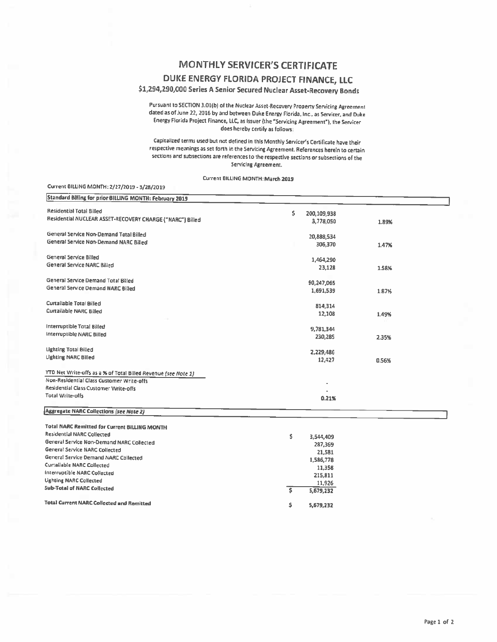### **MONTHLY SERVICER'S CERTIFICATE**

# DUKE ENERGY FLORIDA PROJECT FINANCE, LLC

\$1,294,290,000 Series A Senior Secured Nuclear Asset-Recovery Bonds

Pursuant to SECTION 3.01(b) of the Nuclear Asset-Recovery Property Servicing Agreement dated as of June 22, 2016 by and between Duke Energy Florida, Inc., as Servicer, and Duke Energy Florida Project Finance, LLC, as Issuer (the "Servicing Agreement"), the Servicer does hereby certify as follows:

Capitalized terms used but not defined in this Monthly Servicer's Certificate have their respective meanings as set forth in the Servicing Agreement. References herein to certain sections and subsections are references to the respective sections or subsections of the Servicing Agreement.

#### Current BILLING MONTH: March 2019

#### Current BILLING MONTH: 2/27/2019 - 3/28/2019

| Standard Billing for prior BILLING MONTH: February 2019                                                     |     |                          |       |
|-------------------------------------------------------------------------------------------------------------|-----|--------------------------|-------|
| <b>Residential Total Billed</b>                                                                             | \$  |                          |       |
| Residential NUCLEAR ASSET-RECOVERY CHARGE ("NARC") Billed                                                   |     | 200,109,938<br>3,778,050 |       |
|                                                                                                             |     |                          | 1.89% |
| General Service Non-Demand Total Billed                                                                     |     | 20,888,534               |       |
| General Service Non-Demand NARC Billed                                                                      |     | 306,370                  | 1.47% |
|                                                                                                             |     |                          |       |
| General Service Billed                                                                                      |     | 1,464,290                |       |
| General Service NARC Billed                                                                                 |     | 23,128                   | 1.58% |
|                                                                                                             |     |                          |       |
| General Service Demand Total Billed<br>General Service Demand NARC Billed                                   |     | 90,247,065               |       |
|                                                                                                             |     | 1,691,539                | 1.87% |
| Curtailable Total Billed                                                                                    |     |                          |       |
| Curtailable NARC Billed                                                                                     |     | 814,314                  |       |
|                                                                                                             |     | 12,108                   | 1.49% |
| Interruptible Total Billed                                                                                  |     | 9,781.344                |       |
| Interruptible NARC Billed                                                                                   |     | 230,285                  | 2.35% |
|                                                                                                             |     |                          |       |
| <b>Lighting Total Billed</b>                                                                                |     | 2.229.486                |       |
| <b>Lighting NARC Billed</b>                                                                                 |     | 12,427                   | 0.56% |
|                                                                                                             |     |                          |       |
| YTD Net Write-offs as a % of Total Billed Revenue (see Note 1)<br>Non-Residential Class Customer Write-offs |     |                          |       |
| Residential Class Customer Write-offs                                                                       |     |                          |       |
| <b>Total Write-offs</b>                                                                                     |     |                          |       |
|                                                                                                             |     | 0.21%                    |       |
| <b>Aggregate NARC Collections (see Note 2)</b>                                                              |     |                          |       |
|                                                                                                             |     |                          |       |
| <b>Total NARC Remitted for Current BILLING MONTH</b><br><b>Residential NARC Collected</b>                   |     |                          |       |
| General Service Non-Demand NARC Collected                                                                   | \$  | 3,544,409                |       |
| General Service NARC Collected                                                                              |     | 287,369                  |       |
| General Service Demand NARC Collected                                                                       |     | 21,581                   |       |
| Curtailable NARC Collected                                                                                  |     | 1,586,778                |       |
| Interruptible NARC Collected                                                                                |     | 11,358                   |       |
| <b>Lighting NARC Collected</b>                                                                              |     | 215,811                  |       |
| <b>Sub-Total of NARC Collected</b>                                                                          | s   | 11,926<br>5,679,232      |       |
|                                                                                                             |     |                          |       |
| <b>Total Current NARC Collected and Remitted</b>                                                            | \$. | 5,679,232                |       |
|                                                                                                             |     |                          |       |